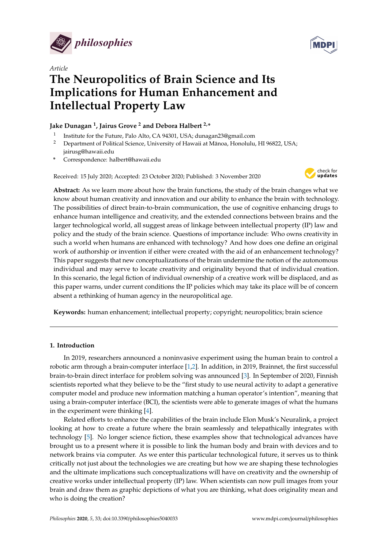





# **The Neuropolitics of Brain Science and Its Implications for Human Enhancement and Intellectual Property Law**

## **Jake Dunagan <sup>1</sup> , Jairus Grove <sup>2</sup> and Debora Halbert 2,\***

- 1 Institute for the Future, Palo Alto, CA 94301, USA; dunagan23@gmail.com
- Department of Political Science, University of Hawaii at Mānoa, Honolulu, HI 96822, USA; jairusg@hawaii.edu
- **\*** Correspondence: halbert@hawaii.edu

Received: 15 July 2020; Accepted: 23 October 2020; Published: 3 November 2020



**Abstract:** As we learn more about how the brain functions, the study of the brain changes what we know about human creativity and innovation and our ability to enhance the brain with technology. The possibilities of direct brain-to-brain communication, the use of cognitive enhancing drugs to enhance human intelligence and creativity, and the extended connections between brains and the larger technological world, all suggest areas of linkage between intellectual property (IP) law and policy and the study of the brain science. Questions of importance include: Who owns creativity in such a world when humans are enhanced with technology? And how does one define an original work of authorship or invention if either were created with the aid of an enhancement technology? This paper suggests that new conceptualizations of the brain undermine the notion of the autonomous individual and may serve to locate creativity and originality beyond that of individual creation. In this scenario, the legal fiction of individual ownership of a creative work will be displaced, and as this paper warns, under current conditions the IP policies which may take its place will be of concern absent a rethinking of human agency in the neuropolitical age.

**Keywords:** human enhancement; intellectual property; copyright; neuropolitics; brain science

## **1. Introduction**

In 2019, researchers announced a noninvasive experiment using the human brain to control a robotic arm through a brain-computer interface [\[1](#page-12-0)[,2\]](#page-12-1). In addition, in 2019, Brainnet, the first successful brain-to-brain direct interface for problem solving was announced [\[3\]](#page-12-2). In September of 2020, Finnish scientists reported what they believe to be the "first study to use neural activity to adapt a generative computer model and produce new information matching a human operator's intention", meaning that using a brain-computer interface (BCI), the scientists were able to generate images of what the humans in the experiment were thinking [\[4\]](#page-12-3).

Related efforts to enhance the capabilities of the brain include Elon Musk's Neuralink, a project looking at how to create a future where the brain seamlessly and telepathically integrates with technology [\[5\]](#page-12-4). No longer science fiction, these examples show that technological advances have brought us to a present where it is possible to link the human body and brain with devices and to network brains via computer. As we enter this particular technological future, it serves us to think critically not just about the technologies we are creating but how we are shaping these technologies and the ultimate implications such conceptualizations will have on creativity and the ownership of creative works under intellectual property (IP) law. When scientists can now pull images from your brain and draw them as graphic depictions of what you are thinking, what does originality mean and who is doing the creation?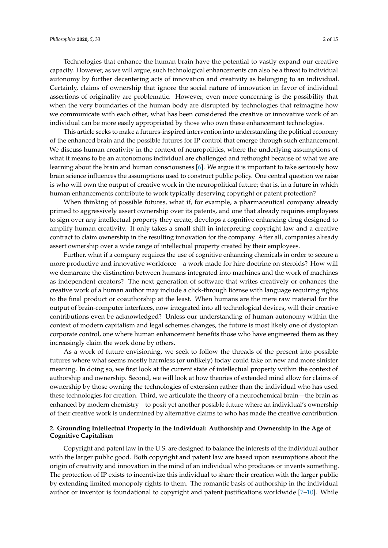Technologies that enhance the human brain have the potential to vastly expand our creative capacity. However, as we will argue, such technological enhancements can also be a threat to individual autonomy by further decentering acts of innovation and creativity as belonging to an individual. Certainly, claims of ownership that ignore the social nature of innovation in favor of individual assertions of originality are problematic. However, even more concerning is the possibility that when the very boundaries of the human body are disrupted by technologies that reimagine how we communicate with each other, what has been considered the creative or innovative work of an individual can be more easily appropriated by those who own these enhancement technologies.

This article seeks to make a futures-inspired intervention into understanding the political economy of the enhanced brain and the possible futures for IP control that emerge through such enhancement. We discuss human creativity in the context of neuropolitics, where the underlying assumptions of what it means to be an autonomous individual are challenged and rethought because of what we are learning about the brain and human consciousness [\[6\]](#page-12-5). We argue it is important to take seriously how brain science influences the assumptions used to construct public policy. One central question we raise is who will own the output of creative work in the neuropolitical future; that is, in a future in which human enhancements contribute to work typically deserving copyright or patent protection?

When thinking of possible futures, what if, for example, a pharmaceutical company already primed to aggressively assert ownership over its patents, and one that already requires employees to sign over any intellectual property they create, develops a cognitive enhancing drug designed to amplify human creativity. It only takes a small shift in interpreting copyright law and a creative contract to claim ownership in the resulting innovation for the company. After all, companies already assert ownership over a wide range of intellectual property created by their employees.

Further, what if a company requires the use of cognitive enhancing chemicals in order to secure a more productive and innovative workforce—a work made for hire doctrine on steroids? How will we demarcate the distinction between humans integrated into machines and the work of machines as independent creators? The next generation of software that writes creatively or enhances the creative work of a human author may include a click-through license with language requiring rights to the final product or coauthorship at the least. When humans are the mere raw material for the output of brain-computer interfaces, now integrated into all technological devices, will their creative contributions even be acknowledged? Unless our understanding of human autonomy within the context of modern capitalism and legal schemes changes, the future is most likely one of dystopian corporate control, one where human enhancement benefits those who have engineered them as they increasingly claim the work done by others.

As a work of future envisioning, we seek to follow the threads of the present into possible futures where what seems mostly harmless (or unlikely) today could take on new and more sinister meaning. In doing so, we first look at the current state of intellectual property within the context of authorship and ownership. Second, we will look at how theories of extended mind allow for claims of ownership by those owning the technologies of extension rather than the individual who has used these technologies for creation. Third, we articulate the theory of a neurochemical brain—the brain as enhanced by modern chemistry—to posit yet another possible future where an individual's ownership of their creative work is undermined by alternative claims to who has made the creative contribution.

### **2. Grounding Intellectual Property in the Individual: Authorship and Ownership in the Age of Cognitive Capitalism**

Copyright and patent law in the U.S. are designed to balance the interests of the individual author with the larger public good. Both copyright and patent law are based upon assumptions about the origin of creativity and innovation in the mind of an individual who produces or invents something. The protection of IP exists to incentivize this individual to share their creation with the larger public by extending limited monopoly rights to them. The romantic basis of authorship in the individual author or inventor is foundational to copyright and patent justifications worldwide  $[7-10]$  $[7-10]$ . While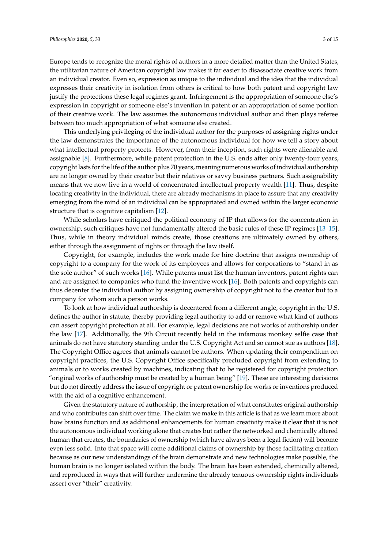Europe tends to recognize the moral rights of authors in a more detailed matter than the United States, the utilitarian nature of American copyright law makes it far easier to disassociate creative work from an individual creator. Even so, expression as unique to the individual and the idea that the individual expresses their creativity in isolation from others is critical to how both patent and copyright law justify the protections these legal regimes grant. Infringement is the appropriation of someone else's expression in copyright or someone else's invention in patent or an appropriation of some portion of their creative work. The law assumes the autonomous individual author and then plays referee between too much appropriation of what someone else created.

This underlying privileging of the individual author for the purposes of assigning rights under the law demonstrates the importance of the autonomous individual for how we tell a story about what intellectual property protects. However, from their inception, such rights were alienable and assignable [\[8\]](#page-12-8). Furthermore, while patent protection in the U.S. ends after only twenty-four years, copyright lasts for the life of the author plus 70 years, meaning numerous works of individual authorship are no longer owned by their creator but their relatives or savvy business partners. Such assignability means that we now live in a world of concentrated intellectual property wealth [\[11\]](#page-12-9). Thus, despite locating creativity in the individual, there are already mechanisms in place to assure that any creativity emerging from the mind of an individual can be appropriated and owned within the larger economic structure that is cognitive capitalism [\[12\]](#page-12-10).

While scholars have critiqued the political economy of IP that allows for the concentration in ownership, such critiques have not fundamentally altered the basic rules of these IP regimes [\[13–](#page-12-11)[15\]](#page-12-12). Thus, while in theory individual minds create, those creations are ultimately owned by others, either through the assignment of rights or through the law itself.

Copyright, for example, includes the work made for hire doctrine that assigns ownership of copyright to a company for the work of its employees and allows for corporations to "stand in as the sole author" of such works [\[16\]](#page-12-13). While patents must list the human inventors, patent rights can and are assigned to companies who fund the inventive work [\[16\]](#page-12-13). Both patents and copyrights can thus decenter the individual author by assigning ownership of copyright not to the creator but to a company for whom such a person works.

To look at how individual authorship is decentered from a different angle, copyright in the U.S. defines the author in statute, thereby providing legal authority to add or remove what kind of authors can assert copyright protection at all. For example, legal decisions are not works of authorship under the law [\[17\]](#page-12-14). Additionally, the 9th Circuit recently held in the infamous monkey selfie case that animals do not have statutory standing under the U.S. Copyright Act and so cannot sue as authors [\[18\]](#page-12-15). The Copyright Office agrees that animals cannot be authors. When updating their compendium on copyright practices, the U.S. Copyright Office specifically precluded copyright from extending to animals or to works created by machines, indicating that to be registered for copyright protection "original works of authorship must be created by a human being" [\[19\]](#page-12-16). These are interesting decisions but do not directly address the issue of copyright or patent ownership for works or inventions produced with the aid of a cognitive enhancement.

Given the statutory nature of authorship, the interpretation of what constitutes original authorship and who contributes can shift over time. The claim we make in this article is that as we learn more about how brains function and as additional enhancements for human creativity make it clear that it is not the autonomous individual working alone that creates but rather the networked and chemically altered human that creates, the boundaries of ownership (which have always been a legal fiction) will become even less solid. Into that space will come additional claims of ownership by those facilitating creation because as our new understandings of the brain demonstrate and new technologies make possible, the human brain is no longer isolated within the body. The brain has been extended, chemically altered, and reproduced in ways that will further undermine the already tenuous ownership rights individuals assert over "their" creativity.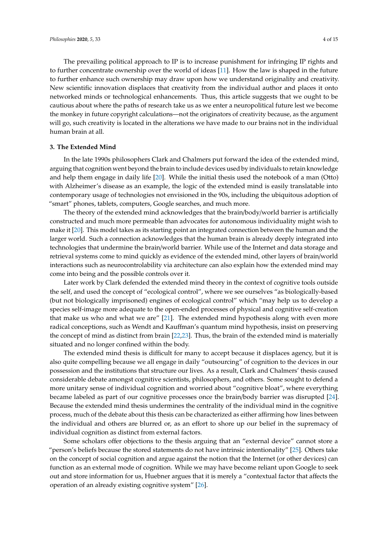The prevailing political approach to IP is to increase punishment for infringing IP rights and to further concentrate ownership over the world of ideas [\[11\]](#page-12-9). How the law is shaped in the future to further enhance such ownership may draw upon how we understand originality and creativity. New scientific innovation displaces that creativity from the individual author and places it onto networked minds or technological enhancements. Thus, this article suggests that we ought to be cautious about where the paths of research take us as we enter a neuropolitical future lest we become the monkey in future copyright calculations—not the originators of creativity because, as the argument will go, such creativity is located in the alterations we have made to our brains not in the individual human brain at all.

#### **3. The Extended Mind**

In the late 1990s philosophers Clark and Chalmers put forward the idea of the extended mind, arguing that cognition went beyond the brain to include devices used by individuals to retain knowledge and help them engage in daily life [\[20\]](#page-12-17). While the initial thesis used the notebook of a man (Otto) with Alzheimer's disease as an example, the logic of the extended mind is easily translatable into contemporary usage of technologies not envisioned in the 90s, including the ubiquitous adoption of "smart" phones, tablets, computers, Google searches, and much more.

The theory of the extended mind acknowledges that the brain/body/world barrier is artificially constructed and much more permeable than advocates for autonomous individuality might wish to make it [\[20\]](#page-12-17). This model takes as its starting point an integrated connection between the human and the larger world. Such a connection acknowledges that the human brain is already deeply integrated into technologies that undermine the brain/world barrier. While use of the Internet and data storage and retrieval systems come to mind quickly as evidence of the extended mind, other layers of brain/world interactions such as neurocontrolability via architecture can also explain how the extended mind may come into being and the possible controls over it.

Later work by Clark defended the extended mind theory in the context of cognitive tools outside the self, and used the concept of "ecological control", where we see ourselves "as biologically-based (but not biologically imprisoned) engines of ecological control" which "may help us to develop a species self-image more adequate to the open-ended processes of physical and cognitive self-creation that make us who and what we are" [\[21\]](#page-12-18). The extended mind hypothesis along with even more radical conceptions, such as Wendt and Kauffman's quantum mind hypothesis, insist on preserving the concept of mind as distinct from brain [\[22,](#page-12-19)[23\]](#page-12-20). Thus, the brain of the extended mind is materially situated and no longer confined within the body.

The extended mind thesis is difficult for many to accept because it displaces agency, but it is also quite compelling because we all engage in daily "outsourcing" of cognition to the devices in our possession and the institutions that structure our lives. As a result, Clark and Chalmers' thesis caused considerable debate amongst cognitive scientists, philosophers, and others. Some sought to defend a more unitary sense of individual cognition and worried about "cognitive bloat", where everything became labeled as part of our cognitive processes once the brain/body barrier was disrupted [\[24\]](#page-12-21). Because the extended mind thesis undermines the centrality of the individual mind in the cognitive process, much of the debate about this thesis can be characterized as either affirming how lines between the individual and others are blurred or, as an effort to shore up our belief in the supremacy of individual cognition as distinct from external factors.

Some scholars offer objections to the thesis arguing that an "external device" cannot store a "person's beliefs because the stored statements do not have intrinsic intentionality" [\[25\]](#page-13-0). Others take on the concept of social cognition and argue against the notion that the Internet (or other devices) can function as an external mode of cognition. While we may have become reliant upon Google to seek out and store information for us, Huebner argues that it is merely a "contextual factor that affects the operation of an already existing cognitive system" [\[26\]](#page-13-1).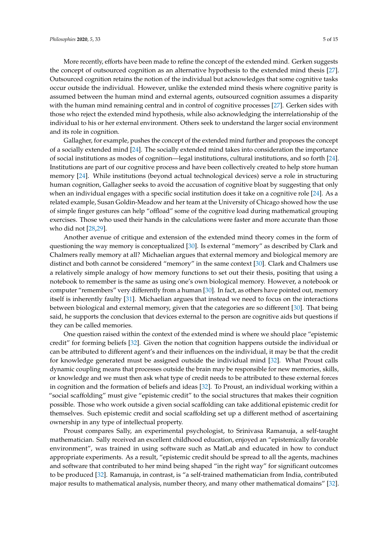More recently, efforts have been made to refine the concept of the extended mind. Gerken suggests the concept of outsourced cognition as an alternative hypothesis to the extended mind thesis [\[27\]](#page-13-2). Outsourced cognition retains the notion of the individual but acknowledges that some cognitive tasks occur outside the individual. However, unlike the extended mind thesis where cognitive parity is assumed between the human mind and external agents, outsourced cognition assumes a disparity with the human mind remaining central and in control of cognitive processes [\[27\]](#page-13-2). Gerken sides with those who reject the extended mind hypothesis, while also acknowledging the interrelationship of the individual to his or her external environment. Others seek to understand the larger social environment and its role in cognition.

Gallagher, for example, pushes the concept of the extended mind further and proposes the concept of a socially extended mind [\[24\]](#page-12-21). The socially extended mind takes into consideration the importance of social institutions as modes of cognition—legal institutions, cultural institutions, and so forth [\[24\]](#page-12-21). Institutions are part of our cognitive process and have been collectively created to help store human memory [\[24\]](#page-12-21). While institutions (beyond actual technological devices) serve a role in structuring human cognition, Gallagher seeks to avoid the accusation of cognitive bloat by suggesting that only when an individual engages with a specific social institution does it take on a cognitive role [\[24\]](#page-12-21). As a related example, Susan Goldin-Meadow and her team at the University of Chicago showed how the use of simple finger gestures can help "offload" some of the cognitive load during mathematical grouping exercises. Those who used their hands in the calculations were faster and more accurate than those who did not [\[28](#page-13-3)[,29\]](#page-13-4).

Another avenue of critique and extension of the extended mind theory comes in the form of questioning the way memory is conceptualized [\[30\]](#page-13-5). Is external "memory" as described by Clark and Chalmers really memory at all? Michaelian argues that external memory and biological memory are distinct and both cannot be considered "memory" in the same context [\[30\]](#page-13-5). Clark and Chalmers use a relatively simple analogy of how memory functions to set out their thesis, positing that using a notebook to remember is the same as using one's own biological memory. However, a notebook or computer "remembers" very differently from a human [\[30\]](#page-13-5). In fact, as others have pointed out, memory itself is inherently faulty [\[31\]](#page-13-6). Michaelian argues that instead we need to focus on the interactions between biological and external memory, given that the categories are so different [\[30\]](#page-13-5). That being said, he supports the conclusion that devices external to the person are cognitive aids but questions if they can be called memories.

One question raised within the context of the extended mind is where we should place "epistemic credit" for forming beliefs [\[32\]](#page-13-7). Given the notion that cognition happens outside the individual or can be attributed to different agent's and their influences on the individual, it may be that the credit for knowledge generated must be assigned outside the individual mind [\[32\]](#page-13-7). What Proust calls dynamic coupling means that processes outside the brain may be responsible for new memories, skills, or knowledge and we must then ask what type of credit needs to be attributed to these external forces in cognition and the formation of beliefs and ideas [\[32\]](#page-13-7). To Proust, an individual working within a "social scaffolding" must give "epistemic credit" to the social structures that makes their cognition possible. Those who work outside a given social scaffolding can take additional epistemic credit for themselves. Such epistemic credit and social scaffolding set up a different method of ascertaining ownership in any type of intellectual property.

Proust compares Sally, an experimental psychologist, to Srinivasa Ramanuja, a self-taught mathematician. Sally received an excellent childhood education, enjoyed an "epistemically favorable environment", was trained in using software such as MatLab and educated in how to conduct appropriate experiments. As a result, "epistemic credit should be spread to all the agents, machines and software that contributed to her mind being shaped "in the right way" for significant outcomes to be produced [\[32\]](#page-13-7). Ramanuja, in contrast, is "a self-trained mathematician from India, contributed major results to mathematical analysis, number theory, and many other mathematical domains" [\[32\]](#page-13-7).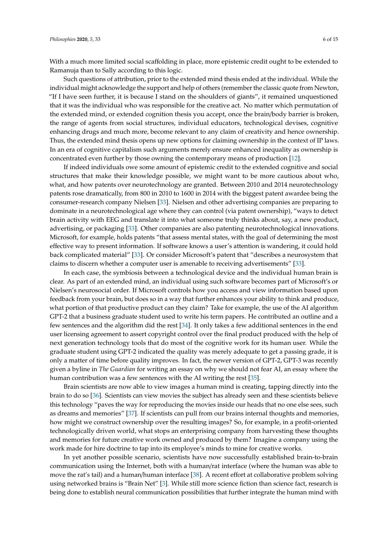With a much more limited social scaffolding in place, more epistemic credit ought to be extended to Ramanuja than to Sally according to this logic.

Such questions of attribution, prior to the extended mind thesis ended at the individual. While the individual might acknowledge the support and help of others (remember the classic quote from Newton, "If I have seen further, it is because I stand on the shoulders of giants", it remained unquestioned that it was the individual who was responsible for the creative act. No matter which permutation of the extended mind, or extended cognition thesis you accept, once the brain/body barrier is broken, the range of agents from social structures, individual educators, technological devises, cognitive enhancing drugs and much more, become relevant to any claim of creativity and hence ownership. Thus, the extended mind thesis opens up new options for claiming ownership in the context of IP laws. In an era of cognitive capitalism such arguments merely ensure enhanced inequality as ownership is concentrated even further by those owning the contemporary means of production [\[12\]](#page-12-10).

If indeed individuals owe some amount of epistemic credit to the extended cognitive and social structures that make their knowledge possible, we might want to be more cautious about who, what, and how patents over neurotechnology are granted. Between 2010 and 2014 neurotechnology patents rose dramatically, from 800 in 2010 to 1600 in 2014 with the biggest patent awardee being the consumer-research company Nielsen [\[33\]](#page-13-8). Nielsen and other advertising companies are preparing to dominate in a neurotechnological age where they can control (via patent ownership), "ways to detect brain activity with EEG and translate it into what someone truly thinks about, say, a new product, advertising, or packaging [\[33\]](#page-13-8). Other companies are also patenting neurotechnological innovations. Microsoft, for example, holds patents "that assess mental states, with the goal of determining the most effective way to present information. If software knows a user's attention is wandering, it could hold back complicated material" [\[33\]](#page-13-8). Or consider Microsoft's patent that "describes a neurosystem that claims to discern whether a computer user is amenable to receiving advertisements" [\[33\]](#page-13-8).

In each case, the symbiosis between a technological device and the individual human brain is clear. As part of an extended mind, an individual using such software becomes part of Microsoft's or Nielsen's neurosocial order. If Microsoft controls how you access and view information based upon feedback from your brain, but does so in a way that further enhances your ability to think and produce, what portion of that productive product can they claim? Take for example, the use of the AI algorithm GPT-2 that a business graduate student used to write his term papers. He contributed an outline and a few sentences and the algorithm did the rest [\[34\]](#page-13-9). It only takes a few additional sentences in the end user licensing agreement to assert copyright control over the final product produced with the help of next generation technology tools that do most of the cognitive work for its human user. While the graduate student using GPT-2 indicated the quality was merely adequate to get a passing grade, it is only a matter of time before quality improves. In fact, the newer version of GPT-2, GPT-3 was recently given a byline in *The Guardian* for writing an essay on why we should not fear AI, an essay where the human contribution was a few sentences with the AI writing the rest [\[35\]](#page-13-10).

Brain scientists are now able to view images a human mind is creating, tapping directly into the brain to do so [\[36\]](#page-13-11). Scientists can view movies the subject has already seen and these scientists believe this technology "paves the way for reproducing the movies inside our heads that no one else sees, such as dreams and memories" [\[37\]](#page-13-12). If scientists can pull from our brains internal thoughts and memories, how might we construct ownership over the resulting images? So, for example, in a profit-oriented technologically driven world, what stops an enterprising company from harvesting these thoughts and memories for future creative work owned and produced by them? Imagine a company using the work made for hire doctrine to tap into its employee's minds to mine for creative works.

In yet another possible scenario, scientists have now successfully established brain-to-brain communication using the Internet, both with a human/rat interface (where the human was able to move the rat's tail) and a human/human interface [\[38\]](#page-13-13). A recent effort at collaborative problem solving using networked brains is "Brain Net" [\[3\]](#page-12-2). While still more science fiction than science fact, research is being done to establish neural communication possibilities that further integrate the human mind with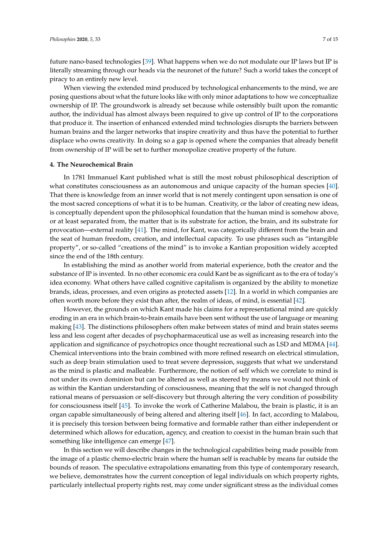future nano-based technologies [\[39\]](#page-13-14). What happens when we do not modulate our IP laws but IP is literally streaming through our heads via the neuronet of the future? Such a world takes the concept of piracy to an entirely new level.

When viewing the extended mind produced by technological enhancements to the mind, we are posing questions about what the future looks like with only minor adaptations to how we conceptualize ownership of IP. The groundwork is already set because while ostensibly built upon the romantic author, the individual has almost always been required to give up control of IP to the corporations that produce it. The insertion of enhanced extended mind technologies disrupts the barriers between human brains and the larger networks that inspire creativity and thus have the potential to further displace who owns creativity. In doing so a gap is opened where the companies that already benefit from ownership of IP will be set to further monopolize creative property of the future.

#### **4. The Neurochemical Brain**

In 1781 Immanuel Kant published what is still the most robust philosophical description of what constitutes consciousness as an autonomous and unique capacity of the human species [\[40\]](#page-13-15). That there is knowledge from an inner world that is not merely contingent upon sensation is one of the most sacred conceptions of what it is to be human. Creativity, or the labor of creating new ideas, is conceptually dependent upon the philosophical foundation that the human mind is somehow above, or at least separated from, the matter that is its substrate for action, the brain, and its substrate for provocation—external reality [\[41\]](#page-13-16). The mind, for Kant, was categorically different from the brain and the seat of human freedom, creation, and intellectual capacity. To use phrases such as "intangible property", or so-called "creations of the mind" is to invoke a Kantian proposition widely accepted since the end of the 18th century.

In establishing the mind as another world from material experience, both the creator and the substance of IP is invented. In no other economic era could Kant be as significant as to the era of today's idea economy. What others have called cognitive capitalism is organized by the ability to monetize brands, ideas, processes, and even origins as protected assets [\[12\]](#page-12-10). In a world in which companies are often worth more before they exist than after, the realm of ideas, of mind, is essential [\[42\]](#page-13-17).

However, the grounds on which Kant made his claims for a representational mind are quickly eroding in an era in which brain-to-brain emails have been sent without the use of language or meaning making [\[43\]](#page-13-18). The distinctions philosophers often make between states of mind and brain states seems less and less cogent after decades of psychopharmaceutical use as well as increasing research into the application and significance of psychotropics once thought recreational such as LSD and MDMA [\[44\]](#page-13-19). Chemical interventions into the brain combined with more refined research on electrical stimulation, such as deep brain stimulation used to treat severe depression, suggests that what we understand as the mind is plastic and malleable. Furthermore, the notion of self which we correlate to mind is not under its own dominion but can be altered as well as steered by means we would not think of as within the Kantian understanding of consciousness, meaning that the self is not changed through rational means of persuasion or self-discovery but through altering the very condition of possibility for consciousness itself [\[45\]](#page-13-20). To invoke the work of Catherine Malabou, the brain is plastic, it is an organ capable simultaneously of being altered and altering itself [\[46\]](#page-13-21). In fact, according to Malabou, it is precisely this torsion between being formative and formable rather than either independent or determined which allows for education, agency, and creation to coexist in the human brain such that something like intelligence can emerge [\[47\]](#page-13-22).

In this section we will describe changes in the technological capabilities being made possible from the image of a plastic chemo-electric brain where the human self is reachable by means far outside the bounds of reason. The speculative extrapolations emanating from this type of contemporary research, we believe, demonstrates how the current conception of legal individuals on which property rights, particularly intellectual property rights rest, may come under significant stress as the individual comes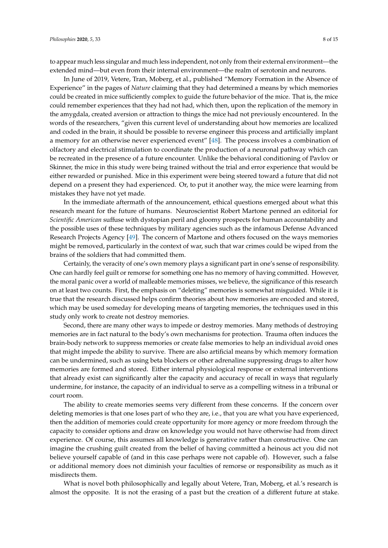to appear much less singular and much less independent, not only from their external environment—the extended mind—but even from their internal environment—the realm of serotonin and neurons.

In June of 2019, Vetere, Tran, Moberg, et al., published "Memory Formation in the Absence of Experience" in the pages of *Nature* claiming that they had determined a means by which memories could be created in mice sufficiently complex to guide the future behavior of the mice. That is, the mice could remember experiences that they had not had, which then, upon the replication of the memory in the amygdala, created aversion or attraction to things the mice had not previously encountered. In the words of the researchers, "given this current level of understanding about how memories are localized and coded in the brain, it should be possible to reverse engineer this process and artificially implant a memory for an otherwise never experienced event" [\[48\]](#page-13-23). The process involves a combination of olfactory and electrical stimulation to coordinate the production of a neuronal pathway which can be recreated in the presence of a future encounter. Unlike the behavioral conditioning of Pavlov or Skinner, the mice in this study were being trained without the trial and error experience that would be either rewarded or punished. Mice in this experiment were being steered toward a future that did not depend on a present they had experienced. Or, to put it another way, the mice were learning from mistakes they have not yet made.

In the immediate aftermath of the announcement, ethical questions emerged about what this research meant for the future of humans. Neuroscientist Robert Martone penned an editorial for *Scientific American* suffuse with dystopian peril and gloomy prospects for human accountability and the possible uses of these techniques by military agencies such as the infamous Defense Advanced Research Projects Agency [\[49\]](#page-13-24). The concern of Martone and others focused on the ways memories might be removed, particularly in the context of war, such that war crimes could be wiped from the brains of the soldiers that had committed them.

Certainly, the veracity of one's own memory plays a significant part in one's sense of responsibility. One can hardly feel guilt or remorse for something one has no memory of having committed. However, the moral panic over a world of malleable memories misses, we believe, the significance of this research on at least two counts. First, the emphasis on "deleting" memories is somewhat misguided. While it is true that the research discussed helps confirm theories about how memories are encoded and stored, which may be used someday for developing means of targeting memories, the techniques used in this study only work to create not destroy memories.

Second, there are many other ways to impede or destroy memories. Many methods of destroying memories are in fact natural to the body's own mechanisms for protection. Trauma often induces the brain-body network to suppress memories or create false memories to help an individual avoid ones that might impede the ability to survive. There are also artificial means by which memory formation can be undermined, such as using beta blockers or other adrenaline suppressing drugs to alter how memories are formed and stored. Either internal physiological response or external interventions that already exist can significantly alter the capacity and accuracy of recall in ways that regularly undermine, for instance, the capacity of an individual to serve as a compelling witness in a tribunal or court room.

The ability to create memories seems very different from these concerns. If the concern over deleting memories is that one loses part of who they are, i.e., that you are what you have experienced, then the addition of memories could create opportunity for more agency or more freedom through the capacity to consider options and draw on knowledge you would not have otherwise had from direct experience. Of course, this assumes all knowledge is generative rather than constructive. One can imagine the crushing guilt created from the belief of having committed a heinous act you did not believe yourself capable of (and in this case perhaps were not capable of). However, such a false or additional memory does not diminish your faculties of remorse or responsibility as much as it misdirects them.

What is novel both philosophically and legally about Vetere, Tran, Moberg, et al.'s research is almost the opposite. It is not the erasing of a past but the creation of a different future at stake.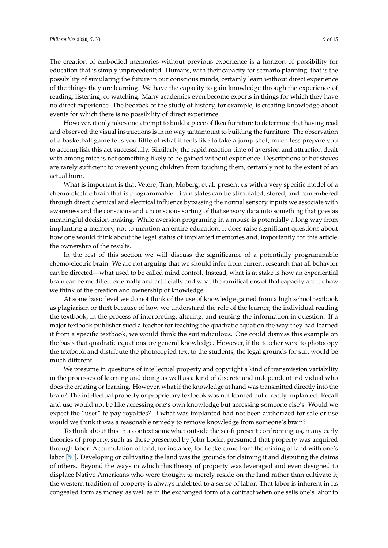The creation of embodied memories without previous experience is a horizon of possibility for education that is simply unprecedented. Humans, with their capacity for scenario planning, that is the possibility of simulating the future in our conscious minds, certainly learn without direct experience of the things they are learning. We have the capacity to gain knowledge through the experience of reading, listening, or watching. Many academics even become experts in things for which they have no direct experience. The bedrock of the study of history, for example, is creating knowledge about events for which there is no possibility of direct experience.

However, it only takes one attempt to build a piece of Ikea furniture to determine that having read and observed the visual instructions is in no way tantamount to building the furniture. The observation of a basketball game tells you little of what it feels like to take a jump shot, much less prepare you to accomplish this act successfully. Similarly, the rapid reaction time of aversion and attraction dealt with among mice is not something likely to be gained without experience. Descriptions of hot stoves are rarely sufficient to prevent young children from touching them, certainly not to the extent of an actual burn.

What is important is that Vetere, Tran, Moberg, et al. present us with a very specific model of a chemo-electric brain that is programmable. Brain states can be stimulated, stored, and remembered through direct chemical and electrical influence bypassing the normal sensory inputs we associate with awareness and the conscious and unconscious sorting of that sensory data into something that goes as meaningful decision-making. While aversion programing in a mouse is potentially a long way from implanting a memory, not to mention an entire education, it does raise significant questions about how one would think about the legal status of implanted memories and, importantly for this article, the ownership of the results.

In the rest of this section we will discuss the significance of a potentially programmable chemo-electric brain. We are not arguing that we should infer from current research that all behavior can be directed—what used to be called mind control. Instead, what is at stake is how an experiential brain can be modified externally and artificially and what the ramifications of that capacity are for how we think of the creation and ownership of knowledge.

At some basic level we do not think of the use of knowledge gained from a high school textbook as plagiarism or theft because of how we understand the role of the learner, the individual reading the textbook, in the process of interpreting, altering, and reusing the information in question. If a major textbook publisher sued a teacher for teaching the quadratic equation the way they had learned it from a specific textbook, we would think the suit ridiculous. One could dismiss this example on the basis that quadratic equations are general knowledge. However, if the teacher were to photocopy the textbook and distribute the photocopied text to the students, the legal grounds for suit would be much different.

We presume in questions of intellectual property and copyright a kind of transmission variability in the processes of learning and doing as well as a kind of discrete and independent individual who does the creating or learning. However, what if the knowledge at hand was transmitted directly into the brain? The intellectual property or proprietary textbook was not learned but directly implanted. Recall and use would not be like accessing one's own knowledge but accessing someone else's. Would we expect the "user" to pay royalties? If what was implanted had not been authorized for sale or use would we think it was a reasonable remedy to remove knowledge from someone's brain?

To think about this in a context somewhat outside the sci-fi present confronting us, many early theories of property, such as those presented by John Locke, presumed that property was acquired through labor. Accumulation of land, for instance, for Locke came from the mixing of land with one's labor [\[50\]](#page-13-25). Developing or cultivating the land was the grounds for claiming it and disputing the claims of others. Beyond the ways in which this theory of property was leveraged and even designed to displace Native Americans who were thought to merely reside on the land rather than cultivate it, the western tradition of property is always indebted to a sense of labor. That labor is inherent in its congealed form as money, as well as in the exchanged form of a contract when one sells one's labor to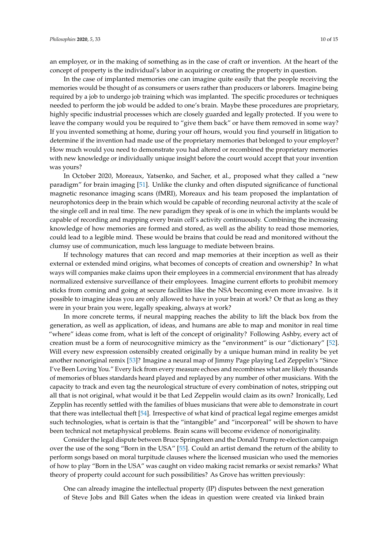an employer, or in the making of something as in the case of craft or invention. At the heart of the concept of property is the individual's labor in acquiring or creating the property in question.

In the case of implanted memories one can imagine quite easily that the people receiving the memories would be thought of as consumers or users rather than producers or laborers. Imagine being required by a job to undergo job training which was implanted. The specific procedures or techniques needed to perform the job would be added to one's brain. Maybe these procedures are proprietary, highly specific industrial processes which are closely guarded and legally protected. If you were to leave the company would you be required to "give them back" or have them removed in some way? If you invented something at home, during your off hours, would you find yourself in litigation to determine if the invention had made use of the proprietary memories that belonged to your employer? How much would you need to demonstrate you had altered or recombined the proprietary memories with new knowledge or individually unique insight before the court would accept that your invention was yours?

In October 2020, Moreaux, Yatsenko, and Sacher, et al., proposed what they called a "new paradigm" for brain imaging [\[51\]](#page-13-26). Unlike the clunky and often disputed significance of functional magnetic resonance imaging scans (fMRI), Moreaux and his team proposed the implantation of neurophotonics deep in the brain which would be capable of recording neuronal activity at the scale of the single cell and in real time. The new paradigm they speak of is one in which the implants would be capable of recording and mapping every brain cell's activity continuously. Combining the increasing knowledge of how memories are formed and stored, as well as the ability to read those memories, could lead to a legible mind. These would be brains that could be read and monitored without the clumsy use of communication, much less language to mediate between brains.

If technology matures that can record and map memories at their inception as well as their external or extended mind origins, what becomes of concepts of creation and ownership? In what ways will companies make claims upon their employees in a commercial environment that has already normalized extensive surveillance of their employees. Imagine current efforts to prohibit memory sticks from coming and going at secure facilities like the NSA becoming even more invasive. Is it possible to imagine ideas you are only allowed to have in your brain at work? Or that as long as they were in your brain you were, legally speaking, always at work?

In more concrete terms, if neural mapping reaches the ability to lift the black box from the generation, as well as application, of ideas, and humans are able to map and monitor in real time "where" ideas come from, what is left of the concept of originality? Following Ashby, every act of creation must be a form of neurocognitive mimicry as the "environment" is our "dictionary" [\[52\]](#page-13-27). Will every new expression ostensibly created originally by a unique human mind in reality be yet another nonoriginal remix [\[53\]](#page-13-28)? Imagine a neural map of Jimmy Page playing Led Zeppelin's "Since I've Been Loving You." Every lick from every measure echoes and recombines what are likely thousands of memories of blues standards heard played and replayed by any number of other musicians. With the capacity to track and even tag the neurological structure of every combination of notes, stripping out all that is not original, what would it be that Led Zeppelin would claim as its own? Ironically, Led Zepplin has recently settled with the families of blues musicians that were able to demonstrate in court that there was intellectual theft [\[54\]](#page-14-0). Irrespective of what kind of practical legal regime emerges amidst such technologies, what is certain is that the "intangible" and "incorporeal" will be shown to have been technical not metaphysical problems. Brain scans will become evidence of nonoriginality.

Consider the legal dispute between Bruce Springsteen and the Donald Trump re-election campaign over the use of the song "Born in the USA" [\[55\]](#page-14-1). Could an artist demand the return of the ability to perform songs based on moral turpitude clauses where the licensed musician who used the memories of how to play "Born in the USA" was caught on video making racist remarks or sexist remarks? What theory of property could account for such possibilities? As Grove has written previously:

One can already imagine the intellectual property (IP) disputes between the next generation of Steve Jobs and Bill Gates when the ideas in question were created via linked brain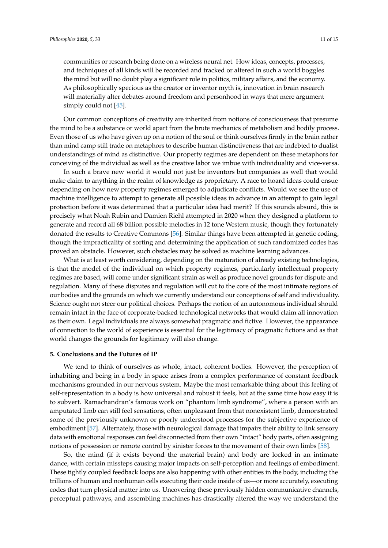communities or research being done on a wireless neural net. How ideas, concepts, processes, and techniques of all kinds will be recorded and tracked or altered in such a world boggles the mind but will no doubt play a significant role in politics, military affairs, and the economy. As philosophically specious as the creator or inventor myth is, innovation in brain research will materially alter debates around freedom and personhood in ways that mere argument simply could not [\[45\]](#page-13-20).

Our common conceptions of creativity are inherited from notions of consciousness that presume the mind to be a substance or world apart from the brute mechanics of metabolism and bodily process. Even those of us who have given up on a notion of the soul or think ourselves firmly in the brain rather than mind camp still trade on metaphors to describe human distinctiveness that are indebted to dualist understandings of mind as distinctive. Our property regimes are dependent on these metaphors for conceiving of the individual as well as the creative labor we imbue with individuality and vice-versa.

In such a brave new world it would not just be inventors but companies as well that would make claim to anything in the realm of knowledge as proprietary. A race to hoard ideas could ensue depending on how new property regimes emerged to adjudicate conflicts. Would we see the use of machine intelligence to attempt to generate all possible ideas in advance in an attempt to gain legal protection before it was determined that a particular idea had merit? If this sounds absurd, this is precisely what Noah Rubin and Damien Riehl attempted in 2020 when they designed a platform to generate and record all 68 billion possible melodies in 12 tone Western music, though they fortunately donated the results to Creative Commons [\[56\]](#page-14-2). Similar things have been attempted in genetic coding, though the impracticality of sorting and determining the application of such randomized codes has proved an obstacle. However, such obstacles may be solved as machine learning advances.

What is at least worth considering, depending on the maturation of already existing technologies, is that the model of the individual on which property regimes, particularly intellectual property regimes are based, will come under significant strain as well as produce novel grounds for dispute and regulation. Many of these disputes and regulation will cut to the core of the most intimate regions of our bodies and the grounds on which we currently understand our conceptions of self and individuality. Science ought not steer our political choices. Perhaps the notion of an autonomous individual should remain intact in the face of corporate-backed technological networks that would claim all innovation as their own. Legal individuals are always somewhat pragmatic and fictive. However, the appearance of connection to the world of experience is essential for the legitimacy of pragmatic fictions and as that world changes the grounds for legitimacy will also change.

#### **5. Conclusions and the Futures of IP**

We tend to think of ourselves as whole, intact, coherent bodies. However, the perception of inhabiting and being in a body in space arises from a complex performance of constant feedback mechanisms grounded in our nervous system. Maybe the most remarkable thing about this feeling of self-representation in a body is how universal and robust it feels, but at the same time how easy it is to subvert. Ramachandran's famous work on "phantom limb syndrome", where a person with an amputated limb can still feel sensations, often unpleasant from that nonexistent limb, demonstrated some of the previously unknown or poorly understood processes for the subjective experience of embodiment [\[57\]](#page-14-3). Alternately, those with neurological damage that impairs their ability to link sensory data with emotional responses can feel disconnected from their own "intact" body parts, often assigning notions of possession or remote control by sinister forces to the movement of their own limbs [\[58\]](#page-14-4).

So, the mind (if it exists beyond the material brain) and body are locked in an intimate dance, with certain missteps causing major impacts on self-perception and feelings of embodiment. These tightly coupled feedback loops are also happening with other entities in the body, including the trillions of human and nonhuman cells executing their code inside of us—or more accurately, executing codes that turn physical matter into us. Uncovering these previously hidden communicative channels, perceptual pathways, and assembling machines has drastically altered the way we understand the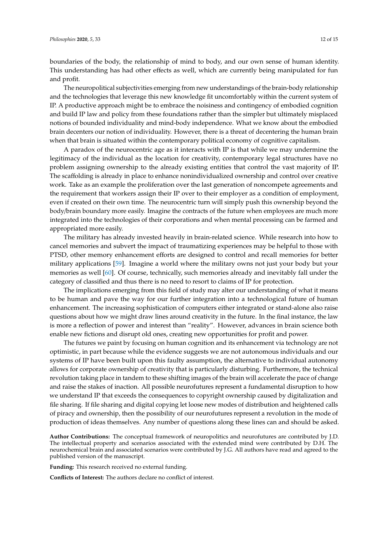boundaries of the body, the relationship of mind to body, and our own sense of human identity. This understanding has had other effects as well, which are currently being manipulated for fun and profit.

The neuropolitical subjectivities emerging from new understandings of the brain-body relationship and the technologies that leverage this new knowledge fit uncomfortably within the current system of IP. A productive approach might be to embrace the noisiness and contingency of embodied cognition and build IP law and policy from these foundations rather than the simpler but ultimately misplaced notions of bounded individuality and mind-body independence. What we know about the embodied brain decenters our notion of individuality. However, there is a threat of decentering the human brain when that brain is situated within the contemporary political economy of cognitive capitalism.

A paradox of the neurocentric age as it interacts with IP is that while we may undermine the legitimacy of the individual as the location for creativity, contemporary legal structures have no problem assigning ownership to the already existing entities that control the vast majority of IP. The scaffolding is already in place to enhance nonindividualized ownership and control over creative work. Take as an example the proliferation over the last generation of noncompete agreements and the requirement that workers assign their IP over to their employer as a condition of employment, even if created on their own time. The neurocentric turn will simply push this ownership beyond the body/brain boundary more easily. Imagine the contracts of the future when employees are much more integrated into the technologies of their corporations and when mental processing can be farmed and appropriated more easily.

The military has already invested heavily in brain-related science. While research into how to cancel memories and subvert the impact of traumatizing experiences may be helpful to those with PTSD, other memory enhancement efforts are designed to control and recall memories for better military applications [\[59\]](#page-14-5). Imagine a world where the military owns not just your body but your memories as well [\[60\]](#page-14-6). Of course, technically, such memories already and inevitably fall under the category of classified and thus there is no need to resort to claims of IP for protection.

The implications emerging from this field of study may alter our understanding of what it means to be human and pave the way for our further integration into a technological future of human enhancement. The increasing sophistication of computers either integrated or stand-alone also raise questions about how we might draw lines around creativity in the future. In the final instance, the law is more a reflection of power and interest than "reality". However, advances in brain science both enable new fictions and disrupt old ones, creating new opportunities for profit and power.

The futures we paint by focusing on human cognition and its enhancement via technology are not optimistic, in part because while the evidence suggests we are not autonomous individuals and our systems of IP have been built upon this faulty assumption, the alternative to individual autonomy allows for corporate ownership of creativity that is particularly disturbing. Furthermore, the technical revolution taking place in tandem to these shifting images of the brain will accelerate the pace of change and raise the stakes of inaction. All possible neurofutures represent a fundamental disruption to how we understand IP that exceeds the consequences to copyright ownership caused by digitalization and file sharing. If file sharing and digital copying let loose new modes of distribution and heightened calls of piracy and ownership, then the possibility of our neurofutures represent a revolution in the mode of production of ideas themselves. Any number of questions along these lines can and should be asked.

**Author Contributions:** The conceptual framework of neuropolitics and neurofutures are contributed by J.D. The intellectual property and scenarios associated with the extended mind were contributed by D.H. The neurochemical brain and associated scenarios were contributed by J.G. All authors have read and agreed to the published version of the manuscript.

**Funding:** This research received no external funding.

**Conflicts of Interest:** The authors declare no conflict of interest.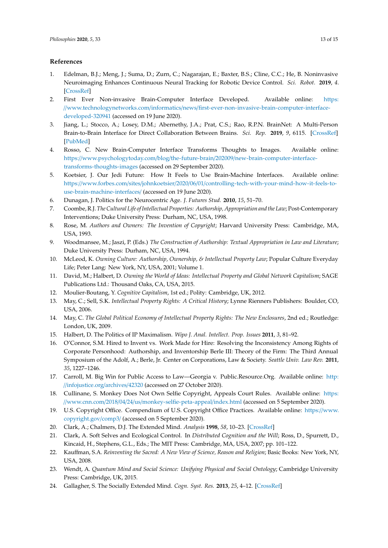## **References**

- <span id="page-12-0"></span>1. Edelman, B.J.; Meng, J.; Suma, D.; Zurn, C.; Nagarajan, E.; Baxter, B.S.; Cline, C.C.; He, B. Noninvasive Neuroimaging Enhances Continuous Neural Tracking for Robotic Device Control. *Sci. Robot.* **2019**, *4*. [\[CrossRef\]](http://dx.doi.org/10.1126/scirobotics.aaw6844)
- <span id="page-12-1"></span>2. First Ever Non-invasive Brain-Computer Interface Developed. Available online: [https:](https://www.technologynetworks.com/informatics/news/first-ever-non-invasive-brain-computer-interface-developed-320941) //www.technologynetworks.com/informatics/news/[first-ever-non-invasive-brain-computer-interface](https://www.technologynetworks.com/informatics/news/first-ever-non-invasive-brain-computer-interface-developed-320941)[developed-320941](https://www.technologynetworks.com/informatics/news/first-ever-non-invasive-brain-computer-interface-developed-320941) (accessed on 19 June 2020).
- <span id="page-12-2"></span>3. Jiang, L.; Stocco, A.; Losey, D.M.; Abernethy, J.A.; Prat, C.S.; Rao, R.P.N. BrainNet: A Multi-Person Brain-to-Brain Interface for Direct Collaboration Between Brains. *Sci. Rep.* **2019**, *9*, 6115. [\[CrossRef\]](http://dx.doi.org/10.1038/s41598-019-41895-7) [\[PubMed\]](http://www.ncbi.nlm.nih.gov/pubmed/30992474)
- <span id="page-12-3"></span>4. Rosso, C. New Brain-Computer Interface Transforms Thoughts to Images. Available online: https://www.psychologytoday.com/blog/the-future-brain/202009/[new-brain-computer-interface](https://www.psychologytoday.com/blog/the-future-brain/202009/new-brain-computer-interface-transforms-thoughts-images)[transforms-thoughts-images](https://www.psychologytoday.com/blog/the-future-brain/202009/new-brain-computer-interface-transforms-thoughts-images) (accessed on 29 September 2020).
- <span id="page-12-4"></span>5. Koetsier, J. Our Jedi Future: How It Feels to Use Brain-Machine Interfaces. Available online: https://www.forbes.com/sites/johnkoetsier/2020/06/01/[controlling-tech-with-your-mind-how-it-feels-to](https://www.forbes.com/sites/johnkoetsier/2020/06/01/controlling-tech-with-your-mind-how-it-feels-to-use-brain-machine-interfaces/)[use-brain-machine-interfaces](https://www.forbes.com/sites/johnkoetsier/2020/06/01/controlling-tech-with-your-mind-how-it-feels-to-use-brain-machine-interfaces/)/ (accessed on 19 June 2020).
- <span id="page-12-5"></span>6. Dunagan, J. Politics for the Neurocentric Age. *J. Futures Stud.* **2010**, *15*, 51–70.
- <span id="page-12-6"></span>7. Coombe, R.J. *The Cultural Life of Intellectual Properties: Authorship, Appropriation and the Law*; Post-Contemporary Interventions; Duke University Press: Durham, NC, USA, 1998.
- <span id="page-12-8"></span>8. Rose, M. *Authors and Owners: The Invention of Copyright*; Harvard University Press: Cambridge, MA, USA, 1993.
- 9. Woodmansee, M.; Jaszi, P. (Eds.) *The Construction of Authorship: Textual Appropriation in Law and Literature*; Duke University Press: Durham, NC, USA, 1994.
- <span id="page-12-7"></span>10. McLeod, K. *Owning Culture: Authorship, Ownership, & Intellectual Property Law*; Popular Culture Everyday Life; Peter Lang: New York, NY, USA, 2001; Volume 1.
- <span id="page-12-9"></span>11. David, M.; Halbert, D. *Owning the World of Ideas: Intellectual Property and Global Network Capitalism*; SAGE Publications Ltd.: Thousand Oaks, CA, USA, 2015.
- <span id="page-12-10"></span>12. Moulier-Boutang, Y. *Cognitive Capitalism*, 1st ed.; Polity: Cambridge, UK, 2012.
- <span id="page-12-11"></span>13. May, C.; Sell, S.K. *Intellectual Property Rights: A Critical History*; Lynne Rienners Publishers: Boulder, CO, USA, 2006.
- 14. May, C. *The Global Political Economy of Intellectual Property Rights: The New Enclosures*, 2nd ed.; Routledge: London, UK, 2009.
- <span id="page-12-12"></span>15. Halbert, D. The Politics of IP Maximalism. *Wipo J. Anal. Intellect. Prop. Issues* **2011**, *3*, 81–92.
- <span id="page-12-13"></span>16. O'Connor, S.M. Hired to Invent vs. Work Made for Hire: Resolving the Inconsistency Among Rights of Corporate Personhood: Authorship, and Inventorship Berle III: Theory of the Firm: The Third Annual Symposium of the Adolf, A.; Berle, Jr. Center on Corporations, Law & Society. *Seattle Univ. Law Rev.* **2011**, *35*, 1227–1246.
- <span id="page-12-14"></span>17. Carroll, M. Big Win for Public Access to Law—Georgia v. Public.Resource.Org. Available online: [http:](http://infojustice.org/archives/42320) //[infojustice.org](http://infojustice.org/archives/42320)/archives/42320 (accessed on 27 October 2020).
- <span id="page-12-15"></span>18. Cullinane, S. Monkey Does Not Own Selfie Copyright, Appeals Court Rules. Available online: [https:](https://www.cnn.com/2018/04/24/us/monkey-selfie-peta-appeal/index.html) //www.cnn.com/2018/04/24/us/[monkey-selfie-peta-appeal](https://www.cnn.com/2018/04/24/us/monkey-selfie-peta-appeal/index.html)/index.html (accessed on 5 September 2020).
- <span id="page-12-16"></span>19. U.S. Copyright Office. Compendium of U.S. Copyright Office Practices. Available online: https://[www.](https://www.copyright.gov/comp3/) [copyright.gov](https://www.copyright.gov/comp3/)/comp3/ (accessed on 5 September 2020).
- <span id="page-12-17"></span>20. Clark, A.; Chalmers, D.J. The Extended Mind. *Analysis* **1998**, *58*, 10–23. [\[CrossRef\]](http://dx.doi.org/10.1093/analys/58.1.7)
- <span id="page-12-18"></span>21. Clark, A. Soft Selves and Ecological Control. In *Distributed Cognition and the Will*; Ross, D., Spurrett, D., Kincaid, H., Stephens, G.L., Eds.; The MIT Press: Cambridge, MA, USA, 2007; pp. 101–122.
- <span id="page-12-19"></span>22. Kauffman, S.A. *Reinventing the Sacred: A New View of Science, Reason and Religion*; Basic Books: New York, NY, USA, 2008.
- <span id="page-12-20"></span>23. Wendt, A. *Quantum Mind and Social Science: Unifying Physical and Social Ontology*; Cambridge University Press: Cambridge, UK, 2015.
- <span id="page-12-21"></span>24. Gallagher, S. The Socially Extended Mind. *Cogn. Syst. Res.* **2013**, *25*, 4–12. [\[CrossRef\]](http://dx.doi.org/10.1016/j.cogsys.2013.03.008)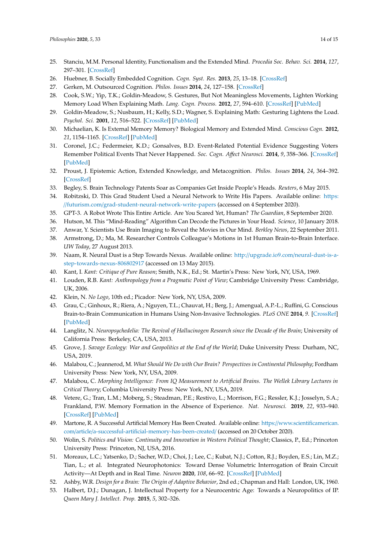- <span id="page-13-0"></span>25. Stanciu, M.M. Personal Identity, Functionalism and the Extended Mind. *Procedia Soc. Behav. Sci.* **2014**, *127*, 297–301. [\[CrossRef\]](http://dx.doi.org/10.1016/j.sbspro.2014.03.259)
- <span id="page-13-1"></span>26. Huebner, B. Socially Embedded Cognition. *Cogn. Syst. Res.* **2013**, *25*, 13–18. [\[CrossRef\]](http://dx.doi.org/10.1016/j.cogsys.2013.03.006)
- <span id="page-13-2"></span>27. Gerken, M. Outsourced Cognition. *Philos. Issues* **2014**, *24*, 127–158. [\[CrossRef\]](http://dx.doi.org/10.1111/phis.12028)
- <span id="page-13-3"></span>28. Cook, S.W.; Yip, T.K.; Goldin-Meadow, S. Gestures, But Not Meaningless Movements, Lighten Working Memory Load When Explaining Math. *Lang. Cogn. Process.* **2012**, *27*, 594–610. [\[CrossRef\]](http://dx.doi.org/10.1080/01690965.2011.567074) [\[PubMed\]](http://www.ncbi.nlm.nih.gov/pubmed/23700353)
- <span id="page-13-4"></span>29. Goldin-Meadow, S.; Nusbaum, H.; Kelly, S.D.; Wagner, S. Explaining Math: Gesturing Lightens the Load. *Psychol. Sci.* **2001**, *12*, 516–522. [\[CrossRef\]](http://dx.doi.org/10.1111/1467-9280.00395) [\[PubMed\]](http://www.ncbi.nlm.nih.gov/pubmed/11760141)
- <span id="page-13-5"></span>30. Michaelian, K. Is External Memory Memory? Biological Memory and Extended Mind. *Conscious Cogn.* **2012**, *21*, 1154–1165. [\[CrossRef\]](http://dx.doi.org/10.1016/j.concog.2012.04.008) [\[PubMed\]](http://www.ncbi.nlm.nih.gov/pubmed/22608533)
- <span id="page-13-6"></span>31. Coronel, J.C.; Federmeier, K.D.; Gonsalves, B.D. Event-Related Potential Evidence Suggesting Voters Remember Political Events That Never Happened. *Soc. Cogn. A*ff*ect Neurosci.* **2014**, *9*, 358–366. [\[CrossRef\]](http://dx.doi.org/10.1093/scan/nss143) [\[PubMed\]](http://www.ncbi.nlm.nih.gov/pubmed/23202775)
- <span id="page-13-7"></span>32. Proust, J. Epistemic Action, Extended Knowledge, and Metacognition. *Philos. Issues* **2014**, *24*, 364–392. [\[CrossRef\]](http://dx.doi.org/10.1111/phis.12038)
- <span id="page-13-8"></span>33. Begley, S. Brain Technology Patents Soar as Companies Get Inside People's Heads. *Reuters*, 6 May 2015.
- <span id="page-13-9"></span>34. Robitzski, D. This Grad Student Used a Neural Network to Write His Papers. Available online: [https:](https://futurism.com/grad-student-neural-network-write-papers) //futurism.com/[grad-student-neural-network-write-papers](https://futurism.com/grad-student-neural-network-write-papers) (accessed on 4 September 2020).
- <span id="page-13-10"></span>35. GPT-3. A Robot Wrote This Entire Article. Are You Scared Yet, Human? *The Guardian*, 8 September 2020.
- <span id="page-13-11"></span>36. Hutson, M. This "Mind-Reading" Algorithm Can Decode the Pictures in Your Head. *Science*, 10 January 2018.
- <span id="page-13-12"></span>37. Anwar, Y. Scientists Use Brain Imaging to Reveal the Movies in Our Mind. *Berkley News*, 22 September 2011.
- <span id="page-13-13"></span>38. Armstrong, D.; Ma, M. Researcher Controls Colleague's Motions in 1st Human Brain-to-Brain Interface. *UW Today*, 27 August 2013.
- <span id="page-13-14"></span>39. Naam, R. Neural Dust is a Step Towards Nexus. Available online: http://upgrade.io9.com/[neural-dust-is-a](http://upgrade.io9.com/neural-dust-is-a-step-towards-nexus-806802917)[step-towards-nexus-806802917](http://upgrade.io9.com/neural-dust-is-a-step-towards-nexus-806802917) (accessed on 13 May 2015).
- <span id="page-13-15"></span>40. Kant, I. *Kant: Critique of Pure Reason*; Smith, N.K., Ed.; St. Martin's Press: New York, NY, USA, 1969.
- <span id="page-13-16"></span>41. Louden, R.B. *Kant: Anthropology from a Pragmatic Point of View*; Cambridge University Press: Cambridge, UK, 2006.
- <span id="page-13-17"></span>42. Klein, N. *No Logo*, 10th ed.; Picador: New York, NY, USA, 2009.
- <span id="page-13-18"></span>43. Grau, C.; Ginhoux, R.; Riera, A.; Nguyen, T.L.; Chauvat, H.; Berg, J.; Amengual, A.P.-L.; Ruffini, G. Conscious Brain-to-Brain Communication in Humans Using Non-Invasive Technologies. *PLoS ONE* **2014**, *9*. [\[CrossRef\]](http://dx.doi.org/10.1371/journal.pone.0105225) [\[PubMed\]](http://www.ncbi.nlm.nih.gov/pubmed/25137064)
- <span id="page-13-19"></span>44. Langlitz, N. *Neuropsychedelia: The Revival of Hallucinogen Research since the Decade of the Brain*; University of California Press: Berkeley, CA, USA, 2013.
- <span id="page-13-20"></span>45. Grove, J. *Savage Ecology: War and Geopolitics at the End of the World*; Duke University Press: Durham, NC, USA, 2019.
- <span id="page-13-21"></span>46. Malabou, C.; Jeannerod, M. *What Should We Do with Our Brain? Perspectives in Continental Philosophy*; Fordham University Press: New York, NY, USA, 2009.
- <span id="page-13-22"></span>47. Malabou, C. *Morphing Intelligence: From IQ Measurement to Artificial Brains. The Wellek Library Lectures in Critical Theory*; Columbia University Press: New York, NY, USA, 2019.
- <span id="page-13-23"></span>48. Vetere, G.; Tran, L.M.; Moberg, S.; Steadman, P.E.; Restivo, L.; Morrison, F.G.; Ressler, K.J.; Josselyn, S.A.; Frankland, P.W. Memory Formation in the Absence of Experience. *Nat. Neurosci.* **2019**, *22*, 933–940. [\[CrossRef\]](http://dx.doi.org/10.1038/s41593-019-0389-0) [\[PubMed\]](http://www.ncbi.nlm.nih.gov/pubmed/31036944)
- <span id="page-13-24"></span>49. Martone, R. A Successful Artificial Memory Has Been Created. Available online: https://[www.scientificamerican.](https://www.scientificamerican.com/article/a-successful-artificial-memory-has-been-created/) com/article/[a-successful-artificial-memory-has-been-created](https://www.scientificamerican.com/article/a-successful-artificial-memory-has-been-created/)/ (accessed on 20 October 2020).
- <span id="page-13-25"></span>50. Wolin, S. *Politics and Vision: Continuity and Innovation in Western Political Thought*; Classics, P., Ed.; Princeton University Press: Princeton, NJ, USA, 2016.
- <span id="page-13-26"></span>51. Moreaux, L.C.; Yatsenko, D.; Sacher, W.D.; Choi, J.; Lee, C.; Kubat, N.J.; Cotton, R.J.; Boyden, E.S.; Lin, M.Z.; Tian, L.; et al. Integrated Neurophotonics: Toward Dense Volumetric Interrogation of Brain Circuit Activity—At Depth and in Real Time. *Neuron* **2020**, *108*, 66–92. [\[CrossRef\]](http://dx.doi.org/10.1016/j.neuron.2020.09.043) [\[PubMed\]](http://www.ncbi.nlm.nih.gov/pubmed/33058767)
- <span id="page-13-27"></span>52. Ashby, W.R. *Design for a Brain: The Origin of Adaptive Behavior*, 2nd ed.; Chapman and Hall: London, UK, 1960.
- <span id="page-13-28"></span>53. Halbert, D.J.; Dunagan, J. Intellectual Property for a Neurocentric Age: Towards a Neuropolitics of IP. *Queen Mary J. Intellect. Prop.* **2015**, *5*, 302–326.